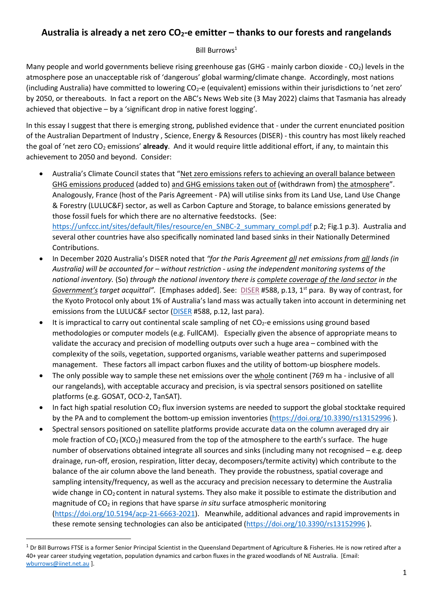# **Australia is already a net zero CO2-e emitter – thanks to our forests and rangelands**

#### Bill Burrows<sup>1</sup>

Many people and world governments believe rising greenhouse gas (GHG - mainly carbon dioxide - CO<sub>2</sub>) levels in the atmosphere pose an unacceptable risk of 'dangerous' global warming/climate change. Accordingly, most nations (including Australia) have committed to lowering  $CO_2$ -e (equivalent) emissions within their jurisdictions to 'net zero' by 2050, or thereabouts. In fact a report on the ABC's News Web site (3 May 2022) claims that Tasmania has already achieved that objective – by a 'significant drop in native forest logging'.

In this essay I suggest that there is emerging strong, published evidence that - under the current enunciated position of the Australian Department of Industry , Science, Energy & Resources (DISER) - this country has most likely reached the goal of 'net zero CO<sup>2</sup> emissions' **already**. And it would require little additional effort, if any, to maintain this achievement to 2050 and beyond. Consider:

- Australia's Climate Council states that "Net zero emissions refers to achieving an overall balance between GHG emissions produced (added to) and GHG emissions taken out of (withdrawn from) the atmosphere". Analogously, France (host of the Paris Agreement - PA) will utilise sinks from its Land Use, Land Use Change & Forestry (LULUC&F) sector, as well as Carbon Capture and Storage, to balance emissions generated by those fossil fuels for which there are no alternative feedstocks. (See: [https://unfccc.int/sites/default/files/resource/en\\_SNBC-2\\_summary\\_compl.pdf](https://unfccc.int/sites/default/files/resource/en_SNBC-2_summary_compl.pdf) p.2; Fig.1 p.3). Australia and several other countries have also specifically nominated land based sinks in their Nationally Determined Contributions.
- In December 2020 Australia's DISER noted that *"for the Paris Agreement all net emissions from all lands (in Australia) will be accounted for – without restriction - using the independent monitoring systems of the national inventory.* (So) *through the national inventory there is complete coverage of the land sector in the Government's target acquittal".* [Emphases added]. See: [DISER](https://www.aph.gov.au/Parliamentary_Business/Committees/House/Environment_and_Energy/ClimateBills2020/Submissions) #588, p.13, 1st para. By way of contrast, for the Kyoto Protocol only about 1% of Australia's land mass was actually taken into account in determining net emissions from the LULUC&F sector [\(DISER](https://www.aph.gov.au/Parliamentary_Business/Committees/House/Environment_and_Energy/ClimateBills2020/Submissions) #588, p.12, last para).
- It is impractical to carry out continental scale sampling of net  $CO<sub>2</sub>$ -e emissions using ground based methodologies or computer models (e.g. FullCAM). Especially given the absence of appropriate means to validate the accuracy and precision of modelling outputs over such a huge area – combined with the complexity of the soils, vegetation, supported organisms, variable weather patterns and superimposed management. These factors all impact carbon fluxes and the utility of bottom-up biosphere models.
- The only possible way to sample these net emissions over the whole continent (769 m ha inclusive of all our rangelands), with acceptable accuracy and precision, is via spectral sensors positioned on satellite platforms (e.g. GOSAT, OCO-2, TanSAT).
- In fact high spatial resolution  $CO<sub>2</sub>$  flux inversion systems are needed to support the global stocktake required by the PA and to complement the bottom-up emission inventories [\(https://doi.org/10.3390/rs13152996](https://doi.org/10.3390/rs13152996) ).
- Spectral sensors positioned on satellite platforms provide accurate data on the column averaged dry air mole fraction of  $CO<sub>2</sub> (XCO<sub>2</sub>)$  measured from the top of the atmosphere to the earth's surface. The huge number of observations obtained integrate all sources and sinks (including many not recognised – e.g. deep drainage, run-off, erosion, respiration, litter decay, decomposers/termite activity) which contribute to the balance of the air column above the land beneath. They provide the robustness, spatial coverage and sampling intensity/frequency, as well as the accuracy and precision necessary to determine the Australia wide change in  $CO<sub>2</sub>$  content in natural systems. They also make it possible to estimate the distribution and magnitude of CO<sup>2</sup> in regions that have sparse *in situ* surface atmospheric monitoring [\(https://doi.org/10.5194/acp-21-6663-2021\)](https://doi.org/10.5194/acp-21-6663-2021). Meanwhile, additional advances and rapid improvements in these remote sensing technologies can also be anticipated [\(https://doi.org/10.3390/rs13152996](https://doi.org/10.3390/rs13152996) ).

1

 $1$  Dr Bill Burrows FTSE is a former Senior Principal Scientist in the Queensland Department of Agriculture & Fisheries. He is now retired after a 40+ year career studying vegetation, population dynamics and carbon fluxes in the grazed woodlands of NE Australia. [Email: [wburrows@iinet.net.au](mailto:wburrows@iinet.net.au) ].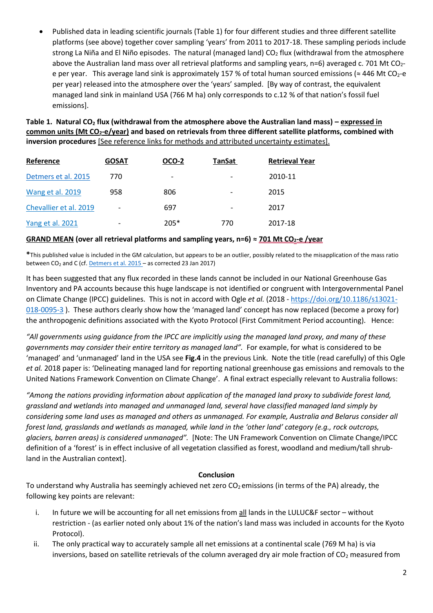Published data in leading scientific journals (Table 1) for four different studies and three different satellite platforms (see above) together cover sampling 'years' from 2011 to 2017-18. These sampling periods include strong La Niña and El Niño episodes. The natural (managed land)  $CO<sub>2</sub>$  flux (withdrawal from the atmosphere above the Australian land mass over all retrieval platforms and sampling years,  $n=6$ ) averaged c. 701 Mt CO<sub>2</sub>e per year. This average land sink is approximately 157 % of total human sourced emissions ( $\approx$  446 Mt CO<sub>2</sub>-e per year) released into the atmosphere over the 'years' sampled. [By way of contrast, the equivalent managed land sink in mainland USA (766 M ha) only corresponds to c.12 % of that nation's fossil fuel emissions].

**Table 1. Natural CO<sup>2</sup> flux (withdrawal from the atmosphere above the Australian land mass) – expressed in common units (Mt CO2-e/year) and based on retrievals from three different satellite platforms, combined with inversion procedures** [See reference links for methods and attributed uncertainty estimates].

| Reference              | <b>GOSAT</b>             | OCO-2  | <b>TanSat</b>                | <b>Retrieval Year</b> |
|------------------------|--------------------------|--------|------------------------------|-----------------------|
| Detmers et al. 2015    | 770                      | -      | $\overline{\phantom{a}}$     | 2010-11               |
| Wang et al. 2019       | 958                      | 806    | $\overline{\phantom{a}}$     | 2015                  |
| Chevallier et al. 2019 |                          | 697    | $\qquad \qquad \blacksquare$ | 2017                  |
| Yang et al. 2021       | $\overline{\phantom{0}}$ | $205*$ | 770                          | 2017-18               |

#### **GRAND MEAN (over all retrieval platforms and sampling years, n=6) ≈ 701 Mt CO2-e /year**

**\***This published value is included in the GM calculation, but appears to be an outlier, possibly related to the misapplication of the mass ratio between  $CO<sub>2</sub>$  and C (cf[. Detmers et al. 2015](https://doi.org/10.1002/2015GL065161) – as corrected 23 Jan 2017)

It has been suggested that any flux recorded in these lands cannot be included in our National Greenhouse Gas Inventory and PA accounts because this huge landscape is not identified or congruent with Intergovernmental Panel on Climate Change (IPCC) guidelines. This is not in accord with Ogle *et al.* (2018 - [https://doi.org/10.1186/s13021-](https://doi.org/10.1186/s13021-018-0095-3) [018-0095-3](https://doi.org/10.1186/s13021-018-0095-3) ). These authors clearly show how the 'managed land' concept has now replaced (become a proxy for) the anthropogenic definitions associated with the Kyoto Protocol (First Commitment Period accounting). Hence:

*"All governments using guidance from the IPCC are implicitly using the managed land proxy, and many of these governments may consider their entire territory as managed land".* For example, for what is considered to be 'managed' and 'unmanaged' land in the USA see **Fig.4** in the previous Link. Note the title (read carefully) of this Ogle *et al.* 2018 paper is: 'Delineating managed land for reporting national greenhouse gas emissions and removals to the United Nations Framework Convention on Climate Change'. A final extract especially relevant to Australia follows:

*"Among the nations providing information about application of the managed land proxy to subdivide forest land, grassland and wetlands into managed and unmanaged land, several have classified managed land simply by considering some land uses as managed and others as unmanaged. For example, Australia and Belarus consider all forest land, grasslands and wetlands as managed, while land in the 'other land' category (e.g., rock outcrops, glaciers, barren areas) is considered unmanaged".* [Note: The UN Framework Convention on Climate Change/IPCC definition of a 'forest' is in effect inclusive of all vegetation classified as forest, woodland and medium/tall shrubland in the Australian context].

#### **Conclusion**

To understand why Australia has seemingly achieved net zero  $CO<sub>2</sub>$  emissions (in terms of the PA) already, the following key points are relevant:

- i. In future we will be accounting for all net emissions from  $all$  lands in the LULUC&F sector without restriction - (as earlier noted only about 1% of the nation's land mass was included in accounts for the Kyoto Protocol).
- ii. The only practical way to accurately sample all net emissions at a continental scale (769 M ha) is via inversions, based on satellite retrievals of the column averaged dry air mole fraction of  $CO<sub>2</sub>$  measured from